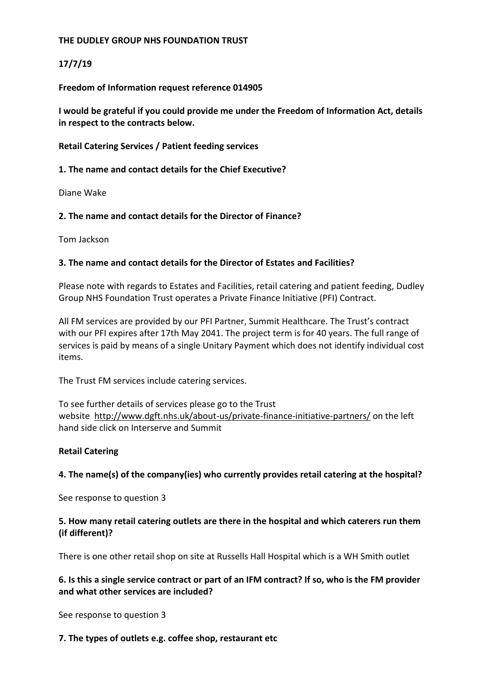## **THE DUDLEY GROUP NHS FOUNDATION TRUST**

# **17/7/19**

**Freedom of Information request reference 014905**

**I would be grateful if you could provide me under the Freedom of Information Act, details in respect to the contracts below.**

**Retail Catering Services / Patient feeding services** 

### **1. The name and contact details for the Chief Executive?**

Diane Wake

## **2. The name and contact details for the Director of Finance?**

Tom Jackson

## **3. The name and contact details for the Director of Estates and Facilities?**

Please note with regards to Estates and Facilities, retail catering and patient feeding, Dudley Group NHS Foundation Trust operates a Private Finance Initiative (PFI) Contract.

All FM services are provided by our PFI Partner, Summit Healthcare. The Trust's contract with our PFI expires after 17th May 2041. The project term is for 40 years. The full range of services is paid by means of a single Unitary Payment which does not identify individual cost items.

The Trust FM services include catering services.

To see further details of services please go to the Trust website <http://www.dgft.nhs.uk/about-us/private-finance-initiative-partners/> on the left hand side click on Interserve and Summit

#### **Retail Catering**

## **4. The name(s) of the company(ies) who currently provides retail catering at the hospital?**

See response to question 3

## **5. How many retail catering outlets are there in the hospital and which caterers run them (if different)?**

There is one other retail shop on site at Russells Hall Hospital which is a WH Smith outlet

## **6. Is this a single service contract or part of an IFM contract? If so, who is the FM provider and what other services are included?**

See response to question 3

#### **7. The types of outlets e.g. coffee shop, restaurant etc**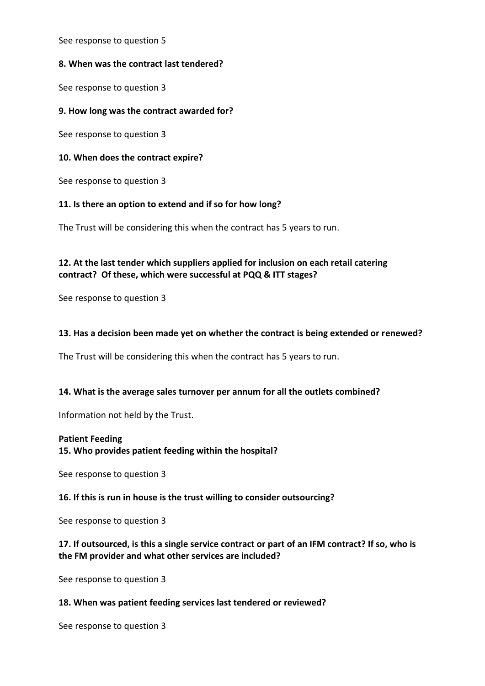See response to question 5

### **8. When was the contract last tendered?**

See response to question 3

### **9. How long was the contract awarded for?**

See response to question 3

### **10. When does the contract expire?**

See response to question 3

## **11. Is there an option to extend and if so for how long?**

The Trust will be considering this when the contract has 5 years to run.

# **12. At the last tender which suppliers applied for inclusion on each retail catering contract? Of these, which were successful at PQQ & ITT stages?**

See response to question 3

## **13. Has a decision been made yet on whether the contract is being extended or renewed?**

The Trust will be considering this when the contract has 5 years to run.

#### **14. What is the average sales turnover per annum for all the outlets combined?**

Information not held by the Trust.

#### **Patient Feeding**

**15. Who provides patient feeding within the hospital?**

See response to question 3

#### **16. If this is run in house is the trust willing to consider outsourcing?**

See response to question 3

## **17. If outsourced, is this a single service contract or part of an IFM contract? If so, who is the FM provider and what other services are included?**

See response to question 3

#### **18. When was patient feeding services last tendered or reviewed?**

See response to question 3